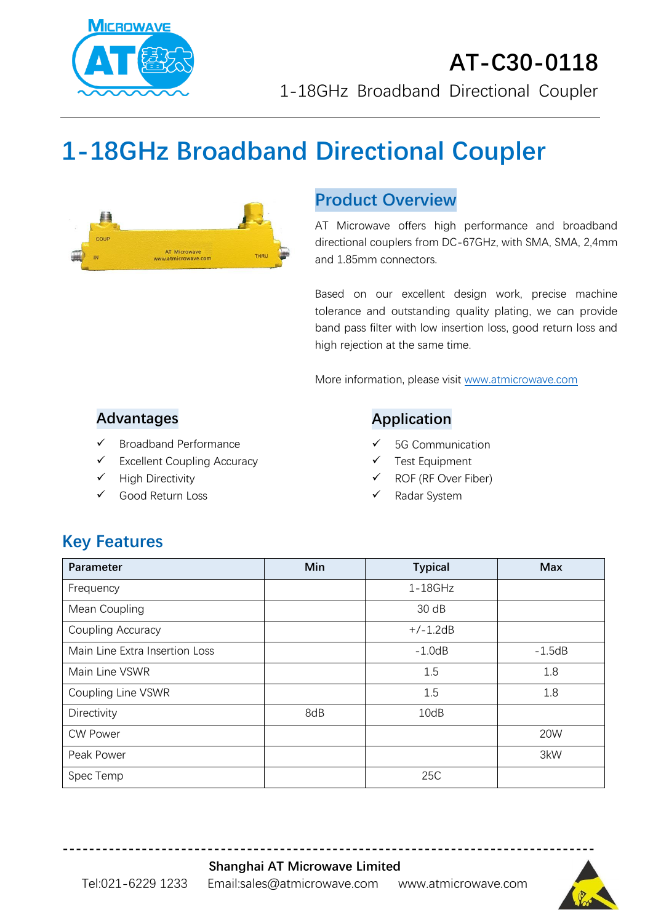

# **1-18GHz Broadband Directional Coupler**



## **Product Overview**

AT Microwave offers high performance and broadband directional couplers from DC-67GHz, with SMA, SMA, 2,4mm and 1.85mm connectors.

Based on our excellent design work, precise machine tolerance and outstanding quality plating, we can provide band pass filter with low insertion loss, good return loss and high rejection at the same time.

More information, please visit [www.atmicrowave.com](http://www.atmicrowave.com/)

### **Advantages**

- ✓ Broadband Performance
- ✓ Excellent Coupling Accuracy
- ✓ High Directivity
- Good Return Loss

### **Application**

- 5G Communication
- Test Equipment
- ROF (RF Over Fiber)
- Radar System

# **Key Features**

| Parameter                      | Min | <b>Typical</b> | <b>Max</b> |
|--------------------------------|-----|----------------|------------|
| Frequency                      |     | $1-18$ GHz     |            |
| Mean Coupling                  |     | 30 dB          |            |
| Coupling Accuracy              |     | $+/-1.2dB$     |            |
| Main Line Extra Insertion Loss |     | $-1.0dB$       | $-1.5dB$   |
| Main Line VSWR                 |     | 1.5            | 1.8        |
| Coupling Line VSWR             |     | 1.5            | 1.8        |
| Directivity                    | 8dB | 10dB           |            |
| <b>CW Power</b>                |     |                | 20W        |
| Peak Power                     |     |                | 3kW        |
| Spec Temp                      |     | 25C            |            |